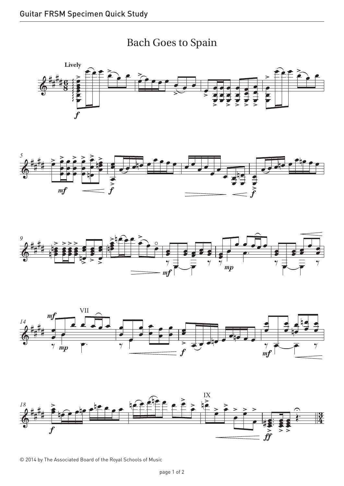











© 2014 by The Associated Board of the Royal Schools of Music